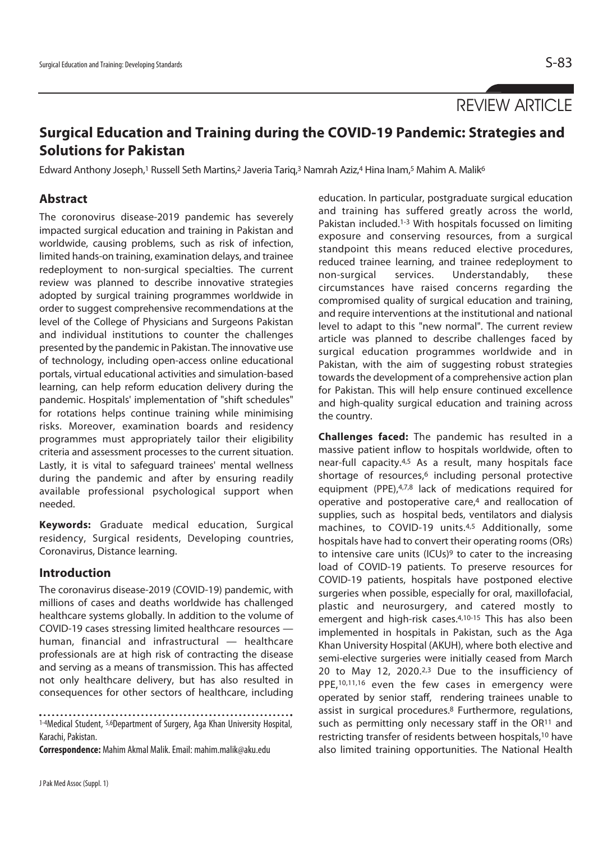REVIEW ARTICLE

# **Surgical Education and Training during the COVID-19 Pandemic: Strategies and Solutions for Pakistan**

Edward Anthony Joseph,<sup>1</sup> Russell Seth Martins,<sup>2</sup> Javeria Tariq,<sup>3</sup> Namrah Aziz,<sup>4</sup> Hina Inam,<sup>5</sup> Mahim A. Malik<sup>6</sup>

## **Abstract**

The coronovirus disease-2019 pandemic has severely impacted surgical education and training in Pakistan and worldwide, causing problems, such as risk of infection, limited hands-on training, examination delays, and trainee redeployment to non-surgical specialties. The current review was planned to describe innovative strategies adopted by surgical training programmes worldwide in order to suggest comprehensive recommendations at the level of the College of Physicians and Surgeons Pakistan and individual institutions to counter the challenges presented by the pandemic in Pakistan. The innovative use of technology, including open-access online educational portals, virtual educational activities and simulation-based learning, can help reform education delivery during the pandemic. Hospitals' implementation of "shift schedules" for rotations helps continue training while minimising risks. Moreover, examination boards and residency programmes must appropriately tailor their eligibility criteria and assessment processes to the current situation. Lastly, it is vital to safeguard trainees' mental wellness during the pandemic and after by ensuring readily available professional psychological support when needed.

**Keywords:** Graduate medical education, Surgical residency, Surgical residents, Developing countries, Coronavirus, Distance learning.

## **Introduction**

The coronavirus disease-2019 (COVID-19) pandemic, with millions of cases and deaths worldwide has challenged healthcare systems globally. In addition to the volume of COVID-19 cases stressing limited healthcare resources human, financial and infrastructural — healthcare professionals are at high risk of contracting the disease and serving as a means of transmission. This has affected not only healthcare delivery, but has also resulted in consequences for other sectors of healthcare, including

1-4Medical Student, 5,6Department of Surgery, Aga Khan University Hospital,

Karachi, Pakistan.

**Correspondence:** Mahim Akmal Malik. Email: mahim.malik@aku.edu

education. In particular, postgraduate surgical education and training has suffered greatly across the world, Pakistan included.<sup>1-3</sup> With hospitals focussed on limiting exposure and conserving resources, from a surgical standpoint this means reduced elective procedures, reduced trainee learning, and trainee redeployment to non-surgical services. Understandably, these circumstances have raised concerns regarding the compromised quality of surgical education and training, and require interventions at the institutional and national level to adapt to this "new normal". The current review article was planned to describe challenges faced by surgical education programmes worldwide and in Pakistan, with the aim of suggesting robust strategies towards the development of a comprehensive action plan for Pakistan. This will help ensure continued excellence and high-quality surgical education and training across the country.

**Challenges faced:** The pandemic has resulted in a massive patient inflow to hospitals worldwide, often to near-full capacity.4,5 As a result, many hospitals face shortage of resources,<sup>6</sup> including personal protective equipment (PPE),4,7,8 lack of medications required for operative and postoperative care,4 and reallocation of supplies, such as hospital beds, ventilators and dialysis machines, to COVID-19 units.4,5 Additionally, some hospitals have had to convert their operating rooms (ORs) to intensive care units (ICUs)<sup>9</sup> to cater to the increasing load of COVID-19 patients. To preserve resources for COVID-19 patients, hospitals have postponed elective surgeries when possible, especially for oral, maxillofacial, plastic and neurosurgery, and catered mostly to emergent and high-risk cases.4,10-15 This has also been implemented in hospitals in Pakistan, such as the Aga Khan University Hospital (AKUH), where both elective and semi-elective surgeries were initially ceased from March 20 to May 12, 2020.2,3 Due to the insufficiency of PPE,10,11,16 even the few cases in emergency were operated by senior staff, rendering trainees unable to assist in surgical procedures.8 Furthermore, regulations, such as permitting only necessary staff in the OR<sup>11</sup> and restricting transfer of residents between hospitals,10 have also limited training opportunities. The National Health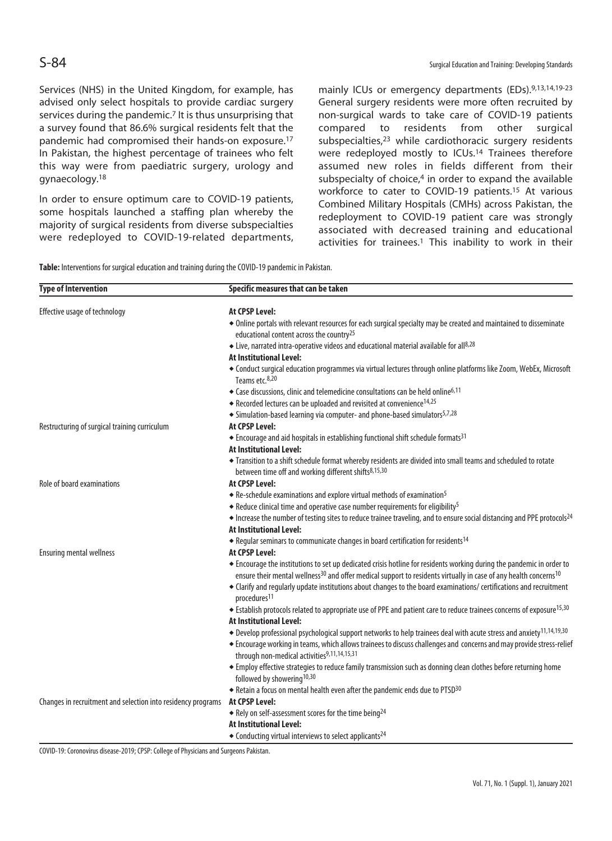Services (NHS) in the United Kingdom, for example, has advised only select hospitals to provide cardiac surgery services during the pandemic.7 It is thus unsurprising that a survey found that 86.6% surgical residents felt that the pandemic had compromised their hands-on exposure.17 In Pakistan, the highest percentage of trainees who felt this way were from paediatric surgery, urology and gynaecology.18

In order to ensure optimum care to COVID-19 patients, some hospitals launched a staffing plan whereby the majority of surgical residents from diverse subspecialties were redeployed to COVID-19-related departments, mainly ICUs or emergency departments (EDs).9,13,14,19-23 General surgery residents were more often recruited by non-surgical wards to take care of COVID-19 patients compared to residents from other surgical subspecialties,23 while cardiothoracic surgery residents were redeployed mostly to ICUs.14 Trainees therefore assumed new roles in fields different from their subspecialty of choice,<sup>4</sup> in order to expand the available workforce to cater to COVID-19 patients.15 At various Combined Military Hospitals (CMHs) across Pakistan, the redeployment to COVID-19 patient care was strongly associated with decreased training and educational activities for trainees.<sup>1</sup> This inability to work in their

**Table:** Interventions for surgical education and training during the COVID-19 pandemic in Pakistan.

| <b>Type of Intervention</b>                                  | Specific measures that can be taken                                                                                                                                                                                                                               |
|--------------------------------------------------------------|-------------------------------------------------------------------------------------------------------------------------------------------------------------------------------------------------------------------------------------------------------------------|
| Effective usage of technology                                | At CPSP Level:                                                                                                                                                                                                                                                    |
|                                                              | • Online portals with relevant resources for each surgical specialty may be created and maintained to disseminate<br>educational content across the country <sup>25</sup>                                                                                         |
|                                                              | ◆ Live, narrated intra-operative videos and educational material available for all <sup>8,28</sup>                                                                                                                                                                |
|                                                              | At Institutional Level:                                                                                                                                                                                                                                           |
|                                                              | • Conduct surgical education programmes via virtual lectures through online platforms like Zoom, WebEx, Microsoft<br>Teams etc. <sup>8,20</sup>                                                                                                                   |
|                                                              | ◆ Case discussions, clinic and telemedicine consultations can be held online <sup>6,11</sup>                                                                                                                                                                      |
|                                                              | ◆ Recorded lectures can be uploaded and revisited at convenience <sup>14,25</sup>                                                                                                                                                                                 |
|                                                              | • Simulation-based learning via computer- and phone-based simulators <sup>5,7,28</sup>                                                                                                                                                                            |
| Restructuring of surgical training curriculum                | At CPSP Level:                                                                                                                                                                                                                                                    |
|                                                              | ◆ Encourage and aid hospitals in establishing functional shift schedule formats <sup>31</sup>                                                                                                                                                                     |
|                                                              | <b>At Institutional Level:</b>                                                                                                                                                                                                                                    |
|                                                              | • Transition to a shift schedule format whereby residents are divided into small teams and scheduled to rotate<br>between time off and working different shifts <sup>8,15,30</sup>                                                                                |
| Role of board examinations                                   | <b>At CPSP Level:</b>                                                                                                                                                                                                                                             |
|                                                              | ◆ Re-schedule examinations and explore virtual methods of examination <sup>5</sup>                                                                                                                                                                                |
|                                                              | ◆ Reduce clinical time and operative case number requirements for eligibility <sup>5</sup>                                                                                                                                                                        |
|                                                              | $\bullet$ Increase the number of testing sites to reduce trainee traveling, and to ensure social distancing and PPE protocols <sup>24</sup>                                                                                                                       |
|                                                              | <b>At Institutional Level:</b>                                                                                                                                                                                                                                    |
|                                                              | ◆ Regular seminars to communicate changes in board certification for residents <sup>14</sup>                                                                                                                                                                      |
| <b>Ensuring mental wellness</b>                              | At CPSP Level:                                                                                                                                                                                                                                                    |
|                                                              | • Encourage the institutions to set up dedicated crisis hotline for residents working during the pandemic in order to<br>ensure their mental wellness <sup>30</sup> and offer medical support to residents virtually in case of any health concerns <sup>10</sup> |
|                                                              | • Clarify and regularly update institutions about changes to the board examinations/ certifications and recruitment<br>procedures <sup>11</sup>                                                                                                                   |
|                                                              | Establish protocols related to appropriate use of PPE and patient care to reduce trainees concerns of exposure <sup>15,30</sup>                                                                                                                                   |
|                                                              | <b>At Institutional Level:</b>                                                                                                                                                                                                                                    |
|                                                              | ◆ Develop professional psychological support networks to help trainees deal with acute stress and anxiety <sup>11,14,19,30</sup>                                                                                                                                  |
|                                                              | • Encourage working in teams, which allows trainees to discuss challenges and concerns and may provide stress-relief<br>through non-medical activities9,11,14,15,31                                                                                               |
|                                                              | • Employ effective strategies to reduce family transmission such as donning clean clothes before returning home<br>followed by showering <sup>10,30</sup>                                                                                                         |
|                                                              | ◆ Retain a focus on mental health even after the pandemic ends due to PTSD30                                                                                                                                                                                      |
| Changes in recruitment and selection into residency programs | <b>At CPSP Level:</b>                                                                                                                                                                                                                                             |
|                                                              | $\bullet$ Rely on self-assessment scores for the time being <sup>24</sup>                                                                                                                                                                                         |
|                                                              | <b>At Institutional Level:</b>                                                                                                                                                                                                                                    |
|                                                              | ◆ Conducting virtual interviews to select applicants <sup>24</sup>                                                                                                                                                                                                |

COVID-19: Coronovirus disease-2019; CPSP: College of Physicians and Surgeons Pakistan.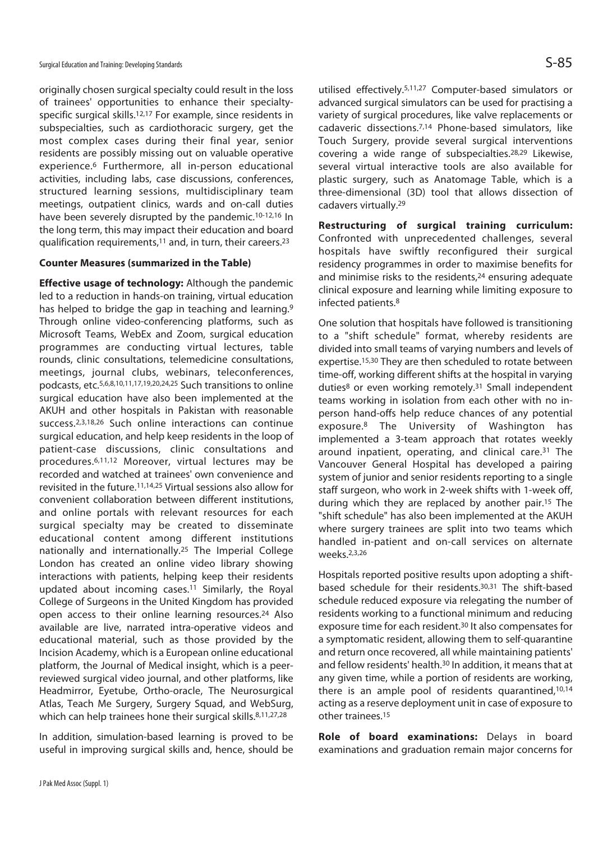originally chosen surgical specialty could result in the loss of trainees' opportunities to enhance their specialtyspecific surgical skills.12,17 For example, since residents in subspecialties, such as cardiothoracic surgery, get the most complex cases during their final year, senior residents are possibly missing out on valuable operative experience.6 Furthermore, all in-person educational activities, including labs, case discussions, conferences, structured learning sessions, multidisciplinary team meetings, outpatient clinics, wards and on-call duties have been severely disrupted by the pandemic.<sup>10-12,16</sup> In the long term, this may impact their education and board qualification requirements,11 and, in turn, their careers.23

#### **Counter Measures (summarized in the Table)**

**Effective usage of technology:** Although the pandemic led to a reduction in hands-on training, virtual education has helped to bridge the gap in teaching and learning.<sup>9</sup> Through online video-conferencing platforms, such as Microsoft Teams, WebEx and Zoom, surgical education programmes are conducting virtual lectures, table rounds, clinic consultations, telemedicine consultations, meetings, journal clubs, webinars, teleconferences, podcasts, etc.5,6,8,10,11,17,19,20,24,25 Such transitions to online surgical education have also been implemented at the AKUH and other hospitals in Pakistan with reasonable success.2,3,18,26 Such online interactions can continue surgical education, and help keep residents in the loop of patient-case discussions, clinic consultations and procedures.6,11,12 Moreover, virtual lectures may be recorded and watched at trainees' own convenience and revisited in the future.11,14,25 Virtual sessions also allow for convenient collaboration between different institutions, and online portals with relevant resources for each surgical specialty may be created to disseminate educational content among different institutions nationally and internationally.25 The Imperial College London has created an online video library showing interactions with patients, helping keep their residents updated about incoming cases.11 Similarly, the Royal College of Surgeons in the United Kingdom has provided open access to their online learning resources.<sup>24</sup> Also available are live, narrated intra-operative videos and educational material, such as those provided by the Incision Academy, which is a European online educational platform, the Journal of Medical insight, which is a peerreviewed surgical video journal, and other platforms, like Headmirror, Eyetube, Ortho-oracle, The Neurosurgical Atlas, Teach Me Surgery, Surgery Squad, and WebSurg, which can help trainees hone their surgical skills.<sup>8,11,27,28</sup>

In addition, simulation-based learning is proved to be useful in improving surgical skills and, hence, should be utilised effectively.5,11,27 Computer-based simulators or advanced surgical simulators can be used for practising a variety of surgical procedures, like valve replacements or cadaveric dissections.7,14 Phone-based simulators, like Touch Surgery, provide several surgical interventions covering a wide range of subspecialties.28,29 Likewise, several virtual interactive tools are also available for plastic surgery, such as Anatomage Table, which is a three-dimensional (3D) tool that allows dissection of cadavers virtually.29

**Restructuring of surgical training curriculum:**  Confronted with unprecedented challenges, several hospitals have swiftly reconfigured their surgical residency programmes in order to maximise benefits for and minimise risks to the residents,<sup>24</sup> ensuring adequate clinical exposure and learning while limiting exposure to infected patients.8

One solution that hospitals have followed is transitioning to a "shift schedule" format, whereby residents are divided into small teams of varying numbers and levels of expertise.15,30 They are then scheduled to rotate between time-off, working different shifts at the hospital in varying duties<sup>8</sup> or even working remotely.<sup>31</sup> Small independent teams working in isolation from each other with no inperson hand-offs help reduce chances of any potential exposure.8 The University of Washington has implemented a 3-team approach that rotates weekly around inpatient, operating, and clinical care.31 The Vancouver General Hospital has developed a pairing system of junior and senior residents reporting to a single staff surgeon, who work in 2-week shifts with 1-week off, during which they are replaced by another pair.15 The "shift schedule" has also been implemented at the AKUH where surgery trainees are split into two teams which handled in-patient and on-call services on alternate weeks.2,3,26

Hospitals reported positive results upon adopting a shiftbased schedule for their residents.30,31 The shift-based schedule reduced exposure via relegating the number of residents working to a functional minimum and reducing exposure time for each resident.30 It also compensates for a symptomatic resident, allowing them to self-quarantine and return once recovered, all while maintaining patients' and fellow residents' health.<sup>30</sup> In addition, it means that at any given time, while a portion of residents are working, there is an ample pool of residents quarantined,10,14 acting as a reserve deployment unit in case of exposure to other trainees.15

**Role of board examinations:** Delays in board examinations and graduation remain major concerns for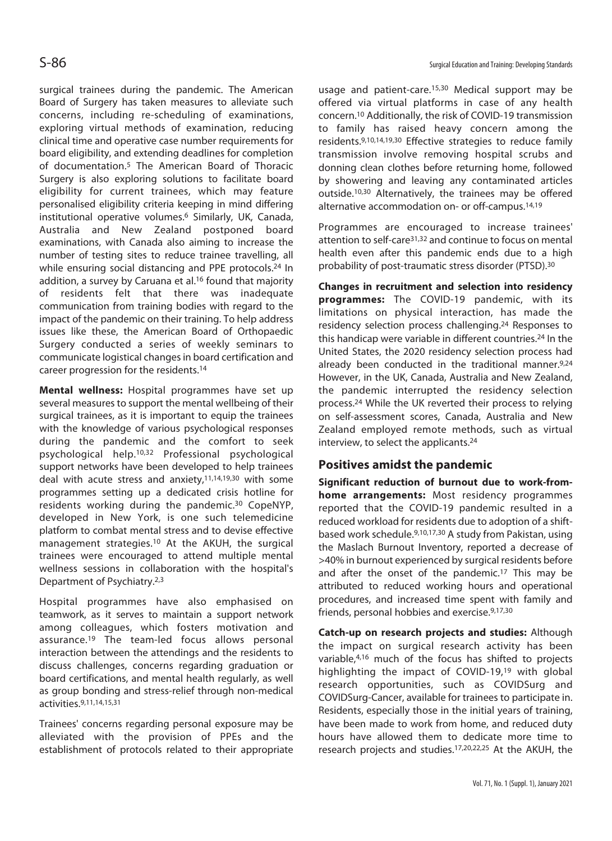surgical trainees during the pandemic. The American Board of Surgery has taken measures to alleviate such concerns, including re-scheduling of examinations, exploring virtual methods of examination, reducing clinical time and operative case number requirements for board eligibility, and extending deadlines for completion of documentation.5 The American Board of Thoracic Surgery is also exploring solutions to facilitate board eligibility for current trainees, which may feature personalised eligibility criteria keeping in mind differing institutional operative volumes.6 Similarly, UK, Canada, Australia and New Zealand postponed board examinations, with Canada also aiming to increase the number of testing sites to reduce trainee travelling, all while ensuring social distancing and PPE protocols.<sup>24</sup> In addition, a survey by Caruana et al.<sup>16</sup> found that majority of residents felt that there was inadequate communication from training bodies with regard to the impact of the pandemic on their training. To help address issues like these, the American Board of Orthopaedic Surgery conducted a series of weekly seminars to communicate logistical changes in board certification and career progression for the residents.14

**Mental wellness:** Hospital programmes have set up several measures to support the mental wellbeing of their surgical trainees, as it is important to equip the trainees with the knowledge of various psychological responses during the pandemic and the comfort to seek psychological help.10,32 Professional psychological support networks have been developed to help trainees deal with acute stress and anxiety, $11,14,19,30$  with some programmes setting up a dedicated crisis hotline for residents working during the pandemic.<sup>30</sup> CopeNYP, developed in New York, is one such telemedicine platform to combat mental stress and to devise effective management strategies.10 At the AKUH, the surgical trainees were encouraged to attend multiple mental wellness sessions in collaboration with the hospital's Department of Psychiatry.2,3

Hospital programmes have also emphasised on teamwork, as it serves to maintain a support network among colleagues, which fosters motivation and assurance.19 The team-led focus allows personal interaction between the attendings and the residents to discuss challenges, concerns regarding graduation or board certifications, and mental health regularly, as well as group bonding and stress-relief through non-medical activities.9,11,14,15,31

Trainees' concerns regarding personal exposure may be alleviated with the provision of PPEs and the establishment of protocols related to their appropriate

usage and patient-care.15,30 Medical support may be offered via virtual platforms in case of any health concern.10 Additionally, the risk of COVID-19 transmission to family has raised heavy concern among the residents.9,10,14,19,30 Effective strategies to reduce family transmission involve removing hospital scrubs and donning clean clothes before returning home, followed by showering and leaving any contaminated articles outside.10,30 Alternatively, the trainees may be offered alternative accommodation on- or off-campus.14,19

Programmes are encouraged to increase trainees' attention to self-care31,32 and continue to focus on mental health even after this pandemic ends due to a high probability of post-traumatic stress disorder (PTSD).30

**Changes in recruitment and selection into residency programmes:** The COVID-19 pandemic, with its limitations on physical interaction, has made the residency selection process challenging.24 Responses to this handicap were variable in different countries.24 In the United States, the 2020 residency selection process had already been conducted in the traditional manner.9,24 However, in the UK, Canada, Australia and New Zealand, the pandemic interrupted the residency selection process.24 While the UK reverted their process to relying on self-assessment scores, Canada, Australia and New Zealand employed remote methods, such as virtual interview, to select the applicants.24

## **Positives amidst the pandemic**

**Significant reduction of burnout due to work-fromhome arrangements:** Most residency programmes reported that the COVID-19 pandemic resulted in a reduced workload for residents due to adoption of a shiftbased work schedule.9,10,17,30 A study from Pakistan, using the Maslach Burnout Inventory, reported a decrease of >40% in burnout experienced by surgical residents before and after the onset of the pandemic.<sup>17</sup> This may be attributed to reduced working hours and operational procedures, and increased time spent with family and friends, personal hobbies and exercise.9,17,30

**Catch-up on research projects and studies:** Although the impact on surgical research activity has been variable,4,16 much of the focus has shifted to projects highlighting the impact of COVID-19,19 with global research opportunities, such as COVIDSurg and COVIDSurg-Cancer, available for trainees to participate in. Residents, especially those in the initial years of training, have been made to work from home, and reduced duty hours have allowed them to dedicate more time to research projects and studies.17,20,22,25 At the AKUH, the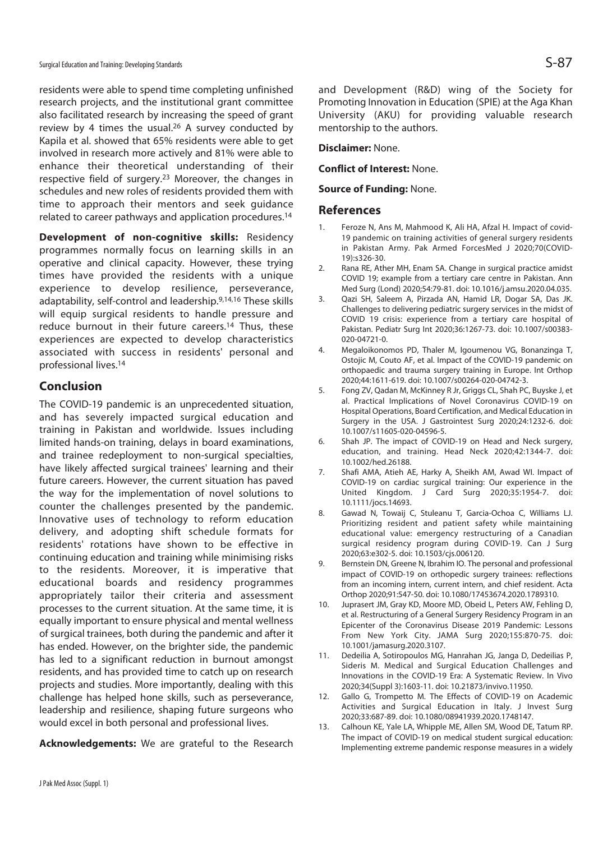residents were able to spend time completing unfinished research projects, and the institutional grant committee also facilitated research by increasing the speed of grant review by 4 times the usual.<sup>26</sup> A survey conducted by Kapila et al. showed that 65% residents were able to get involved in research more actively and 81% were able to enhance their theoretical understanding of their respective field of surgery.23 Moreover, the changes in schedules and new roles of residents provided them with time to approach their mentors and seek guidance related to career pathways and application procedures.14

**Development of non-cognitive skills:** Residency programmes normally focus on learning skills in an operative and clinical capacity. However, these trying times have provided the residents with a unique experience to develop resilience, perseverance, adaptability, self-control and leadership.9,14,16 These skills will equip surgical residents to handle pressure and reduce burnout in their future careers.14 Thus, these experiences are expected to develop characteristics associated with success in residents' personal and professional lives.14

### **Conclusion**

The COVID-19 pandemic is an unprecedented situation, and has severely impacted surgical education and training in Pakistan and worldwide. Issues including limited hands-on training, delays in board examinations, and trainee redeployment to non-surgical specialties, have likely affected surgical trainees' learning and their future careers. However, the current situation has paved the way for the implementation of novel solutions to counter the challenges presented by the pandemic. Innovative uses of technology to reform education delivery, and adopting shift schedule formats for residents' rotations have shown to be effective in continuing education and training while minimising risks to the residents. Moreover, it is imperative that educational boards and residency programmes appropriately tailor their criteria and assessment processes to the current situation. At the same time, it is equally important to ensure physical and mental wellness of surgical trainees, both during the pandemic and after it has ended. However, on the brighter side, the pandemic has led to a significant reduction in burnout amongst residents, and has provided time to catch up on research projects and studies. More importantly, dealing with this challenge has helped hone skills, such as perseverance, leadership and resilience, shaping future surgeons who would excel in both personal and professional lives.

**Acknowledgements:** We are grateful to the Research

and Development (R&D) wing of the Society for Promoting Innovation in Education (SPIE) at the Aga Khan University (AKU) for providing valuable research mentorship to the authors.

**Disclaimer:** None.

**Conflict of Interest:** None.

**Source of Funding:** None.

#### **References**

- 1. Feroze N, Ans M, Mahmood K, Ali HA, Afzal H. Impact of covid-19 pandemic on training activities of general surgery residents in Pakistan Army. Pak Armed ForcesMed J 2020;70(COVID-19):s326-30.
- 2. Rana RE, Ather MH, Enam SA. Change in surgical practice amidst COVID 19; example from a tertiary care centre in Pakistan. Ann Med Surg (Lond) 2020;54:79-81. doi: 10.1016/j.amsu.2020.04.035.
- 3. Qazi SH, Saleem A, Pirzada AN, Hamid LR, Dogar SA, Das JK. Challenges to delivering pediatric surgery services in the midst of COVID 19 crisis: experience from a tertiary care hospital of Pakistan. Pediatr Surg Int 2020;36:1267-73. doi: 10.1007/s00383- 020-04721-0.
- 4. Megaloikonomos PD, Thaler M, Igoumenou VG, Bonanzinga T, Ostojic M, Couto AF, et al. Impact of the COVID-19 pandemic on orthopaedic and trauma surgery training in Europe. Int Orthop 2020;44:1611-619. doi: 10.1007/s00264-020-04742-3.
- 5. Fong ZV, Qadan M, McKinney R Jr, Griggs CL, Shah PC, Buyske J, et al. Practical Implications of Novel Coronavirus COVID-19 on Hospital Operations, Board Certification, and Medical Education in Surgery in the USA. J Gastrointest Surg 2020;24:1232-6. doi: 10.1007/s11605-020-04596-5.
- 6. Shah JP. The impact of COVID-19 on Head and Neck surgery, education, and training. Head Neck 2020;42:1344-7. doi: 10.1002/hed.26188.
- 7. Shafi AMA, Atieh AE, Harky A, Sheikh AM, Awad WI. Impact of COVID-19 on cardiac surgical training: Our experience in the United Kingdom. J Card Surg 2020;35:1954-7. doi: 10.1111/jocs.14693.
- 8. Gawad N, Towaij C, Stuleanu T, Garcia-Ochoa C, Williams LJ. Prioritizing resident and patient safety while maintaining educational value: emergency restructuring of a Canadian surgical residency program during COVID-19. Can J Surg 2020;63:e302-5. doi: 10.1503/cjs.006120.
- 9. Bernstein DN, Greene N, Ibrahim IO. The personal and professional impact of COVID-19 on orthopedic surgery trainees: reflections from an incoming intern, current intern, and chief resident. Acta Orthop 2020;91:547-50. doi: 10.1080/17453674.2020.1789310.
- 10. Juprasert JM, Gray KD, Moore MD, Obeid L, Peters AW, Fehling D, et al. Restructuring of a General Surgery Residency Program in an Epicenter of the Coronavirus Disease 2019 Pandemic: Lessons From New York City. JAMA Surg 2020;155:870-75. doi: 10.1001/jamasurg.2020.3107.
- 11. Dedeilia A, Sotiropoulos MG, Hanrahan JG, Janga D, Dedeilias P, Sideris M. Medical and Surgical Education Challenges and Innovations in the COVID-19 Era: A Systematic Review. In Vivo 2020;34(Suppl 3):1603-11. doi: 10.21873/invivo.11950.
- 12. Gallo G, Trompetto M. The Effects of COVID-19 on Academic Activities and Surgical Education in Italy. J Invest Surg 2020;33:687-89. doi: 10.1080/08941939.2020.1748147.
- 13. Calhoun KE, Yale LA, Whipple ME, Allen SM, Wood DE, Tatum RP. The impact of COVID-19 on medical student surgical education: Implementing extreme pandemic response measures in a widely